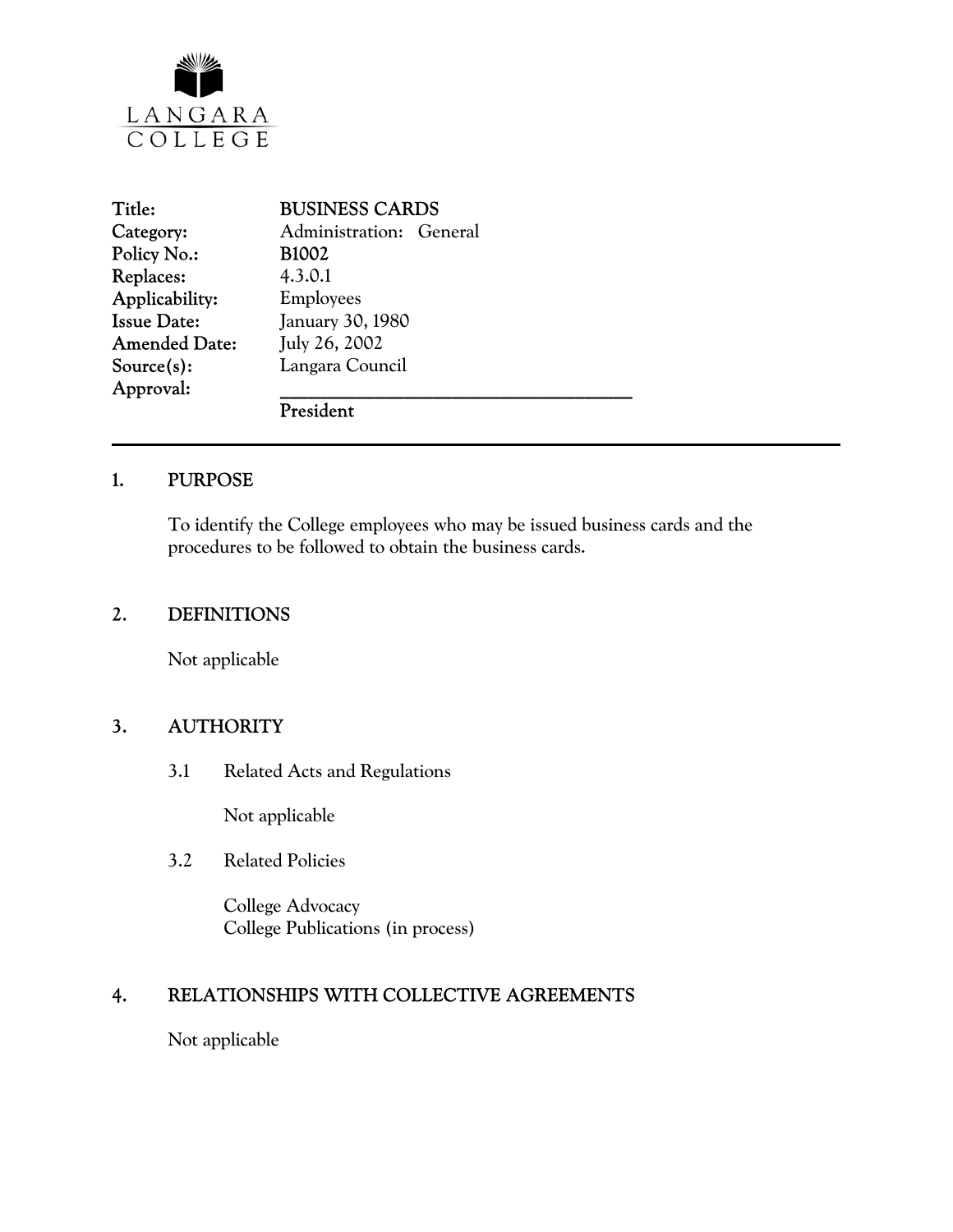

| Title:               | <b>BUSINESS CARDS</b>   |
|----------------------|-------------------------|
| Category:            | Administration: General |
| Policy No.:          | <b>B1002</b>            |
| <b>Replaces:</b>     | 4.3.0.1                 |
| Applicability:       | Employees               |
| <b>Issue Date:</b>   | January 30, 1980        |
| <b>Amended Date:</b> | July 26, 2002           |
| $Source(s)$ :        | Langara Council         |
| Approval:            |                         |
|                      | President               |

#### 1. PURPOSE

To identify the College employees who may be issued business cards and the procedures to be followed to obtain the business cards.

#### 2. DEFINITIONS

Not applicable

# 3. AUTHORITY

3.1 Related Acts and Regulations

Not applicable

3.2 Related Policies

 College Advocacy College Publications (in process)

# 4. RELATIONSHIPS WITH COLLECTIVE AGREEMENTS

Not applicable